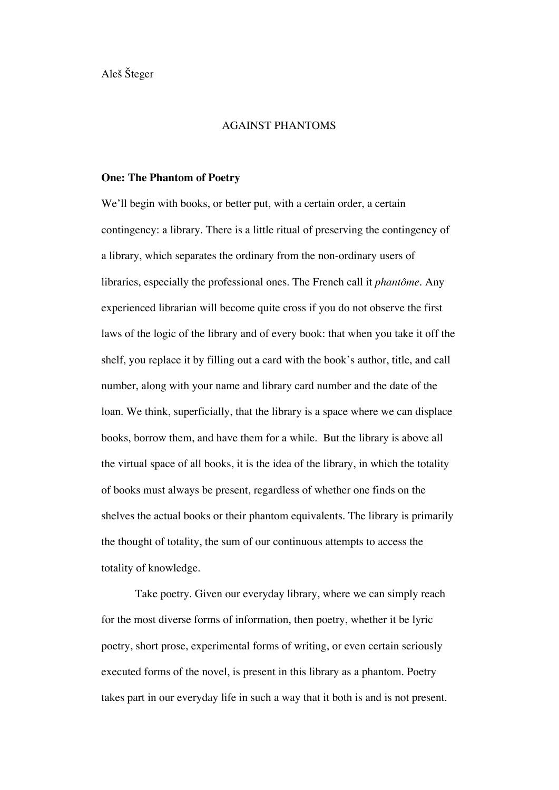Aleš Šteger

# AGAINST PHANTOMS

## **One: The Phantom of Poetry**

We'll begin with books, or better put, with a certain order, a certain contingency: a library. There is a little ritual of preserving the contingency of a library, which separates the ordinary from the non-ordinary users of libraries, especially the professional ones. The French call it *phantôme*. Any experienced librarian will become quite cross if you do not observe the first laws of the logic of the library and of every book: that when you take it off the shelf, you replace it by filling out a card with the book's author, title, and call number, along with your name and library card number and the date of the loan. We think, superficially, that the library is a space where we can displace books, borrow them, and have them for a while. But the library is above all the virtual space of all books, it is the idea of the library, in which the totality of books must always be present, regardless of whether one finds on the shelves the actual books or their phantom equivalents. The library is primarily the thought of totality, the sum of our continuous attempts to access the totality of knowledge.

Take poetry. Given our everyday library, where we can simply reach for the most diverse forms of information, then poetry, whether it be lyric poetry, short prose, experimental forms of writing, or even certain seriously executed forms of the novel, is present in this library as a phantom. Poetry takes part in our everyday life in such a way that it both is and is not present.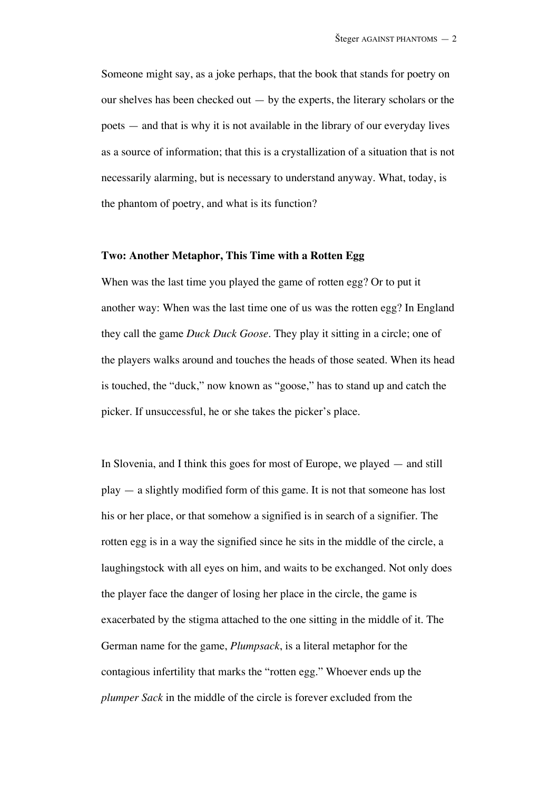Someone might say, as a joke perhaps, that the book that stands for poetry on our shelves has been checked out  $-$  by the experts, the literary scholars or the poets — and that is why it is not available in the library of our everyday lives as a source of information; that this is a crystallization of a situation that is not necessarily alarming, but is necessary to understand anyway. What, today, is the phantom of poetry, and what is its function?

#### **Two: Another Metaphor, This Time with a Rotten Egg**

When was the last time you played the game of rotten egg? Or to put it another way: When was the last time one of us was the rotten egg? In England they call the game *Duck Duck Goose*. They play it sitting in a circle; one of the players walks around and touches the heads of those seated. When its head is touched, the "duck," now known as "goose," has to stand up and catch the picker. If unsuccessful, he or she takes the picker's place.

In Slovenia, and I think this goes for most of Europe, we played — and still play — a slightly modified form of this game. It is not that someone has lost his or her place, or that somehow a signified is in search of a signifier. The rotten egg is in a way the signified since he sits in the middle of the circle, a laughingstock with all eyes on him, and waits to be exchanged. Not only does the player face the danger of losing her place in the circle, the game is exacerbated by the stigma attached to the one sitting in the middle of it. The German name for the game, *Plumpsack*, is a literal metaphor for the contagious infertility that marks the "rotten egg." Whoever ends up the *plumper Sack* in the middle of the circle is forever excluded from the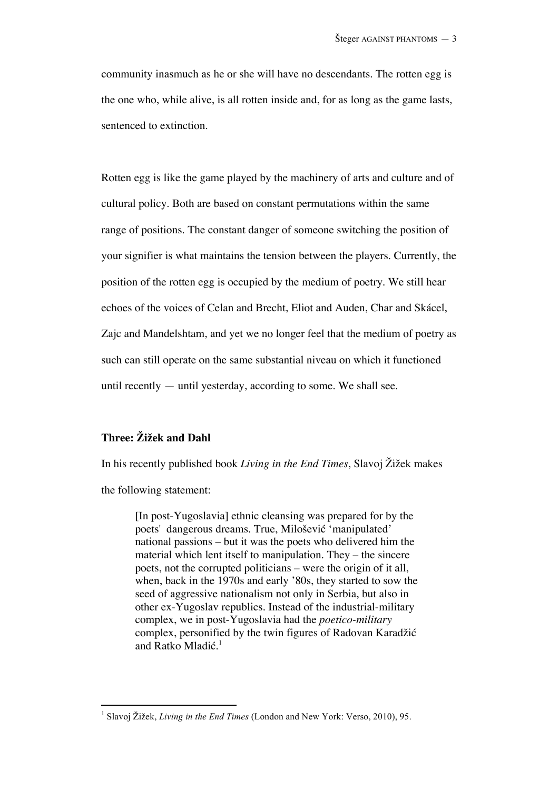community inasmuch as he or she will have no descendants. The rotten egg is the one who, while alive, is all rotten inside and, for as long as the game lasts, sentenced to extinction.

Rotten egg is like the game played by the machinery of arts and culture and of cultural policy. Both are based on constant permutations within the same range of positions. The constant danger of someone switching the position of your signifier is what maintains the tension between the players. Currently, the position of the rotten egg is occupied by the medium of poetry. We still hear echoes of the voices of Celan and Brecht, Eliot and Auden, Char and Skácel, Zajc and Mandelshtam, and yet we no longer feel that the medium of poetry as such can still operate on the same substantial niveau on which it functioned until recently — until yesterday, according to some. We shall see.

# **Three: Žižek and Dahl**

In his recently published book *Living in the End Times*, Slavoj Žižek makes

the following statement:

-

[In post-Yugoslavia] ethnic cleansing was prepared for by the poets' dangerous dreams. True, Milošević 'manipulated' national passions – but it was the poets who delivered him the material which lent itself to manipulation. They – the sincere poets, not the corrupted politicians – were the origin of it all, when, back in the 1970s and early '80s, they started to sow the seed of aggressive nationalism not only in Serbia, but also in other ex-Yugoslav republics. Instead of the industrial-military complex, we in post-Yugoslavia had the *poetico-military* complex, personified by the twin figures of Radovan Karadžić and Ratko Mladić. 1

<sup>&</sup>lt;sup>1</sup> Slavoj Žižek, *Living in the End Times* (London and New York: Verso, 2010), 95.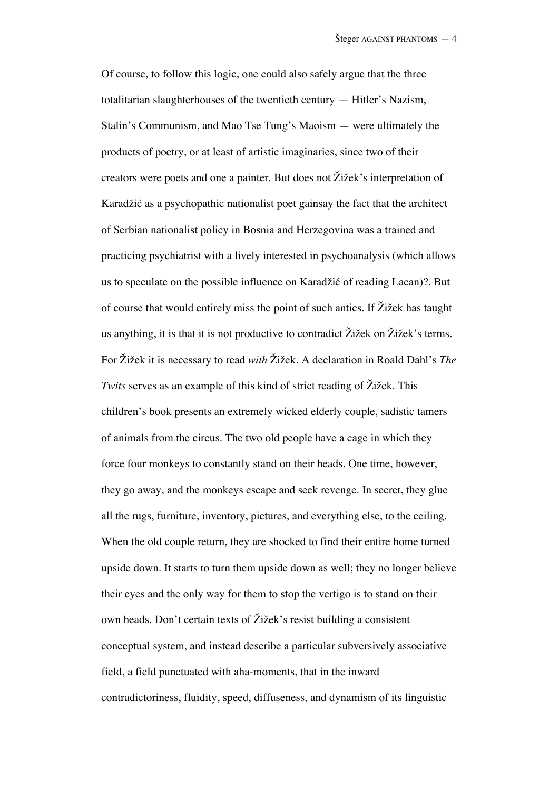Of course, to follow this logic, one could also safely argue that the three totalitarian slaughterhouses of the twentieth century — Hitler's Nazism, Stalin's Communism, and Mao Tse Tung's Maoism — were ultimately the products of poetry, or at least of artistic imaginaries, since two of their creators were poets and one a painter. But does not Žižek's interpretation of Karadžić as a psychopathic nationalist poet gainsay the fact that the architect of Serbian nationalist policy in Bosnia and Herzegovina was a trained and practicing psychiatrist with a lively interested in psychoanalysis (which allows us to speculate on the possible influence on Karadžić of reading Lacan)?. But of course that would entirely miss the point of such antics. If Žižek has taught us anything, it is that it is not productive to contradict Žižek on Žižek's terms. For Žižek it is necessary to read *with* Žižek. A declaration in Roald Dahl's *The Twits* serves as an example of this kind of strict reading of Žižek. This children's book presents an extremely wicked elderly couple, sadistic tamers of animals from the circus. The two old people have a cage in which they force four monkeys to constantly stand on their heads. One time, however, they go away, and the monkeys escape and seek revenge. In secret, they glue all the rugs, furniture, inventory, pictures, and everything else, to the ceiling. When the old couple return, they are shocked to find their entire home turned upside down. It starts to turn them upside down as well; they no longer believe their eyes and the only way for them to stop the vertigo is to stand on their own heads. Don't certain texts of Žižek's resist building a consistent conceptual system, and instead describe a particular subversively associative field, a field punctuated with aha-moments, that in the inward contradictoriness, fluidity, speed, diffuseness, and dynamism of its linguistic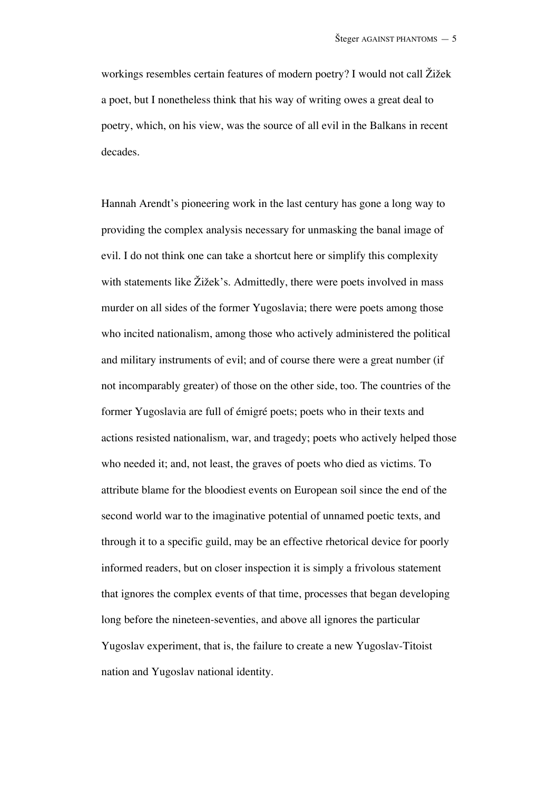workings resembles certain features of modern poetry? I would not call Žižek a poet, but I nonetheless think that his way of writing owes a great deal to poetry, which, on his view, was the source of all evil in the Balkans in recent decades.

Hannah Arendt's pioneering work in the last century has gone a long way to providing the complex analysis necessary for unmasking the banal image of evil. I do not think one can take a shortcut here or simplify this complexity with statements like Žižek's. Admittedly, there were poets involved in mass murder on all sides of the former Yugoslavia; there were poets among those who incited nationalism, among those who actively administered the political and military instruments of evil; and of course there were a great number (if not incomparably greater) of those on the other side, too. The countries of the former Yugoslavia are full of émigré poets; poets who in their texts and actions resisted nationalism, war, and tragedy; poets who actively helped those who needed it; and, not least, the graves of poets who died as victims. To attribute blame for the bloodiest events on European soil since the end of the second world war to the imaginative potential of unnamed poetic texts, and through it to a specific guild, may be an effective rhetorical device for poorly informed readers, but on closer inspection it is simply a frivolous statement that ignores the complex events of that time, processes that began developing long before the nineteen-seventies, and above all ignores the particular Yugoslav experiment, that is, the failure to create a new Yugoslav-Titoist nation and Yugoslav national identity.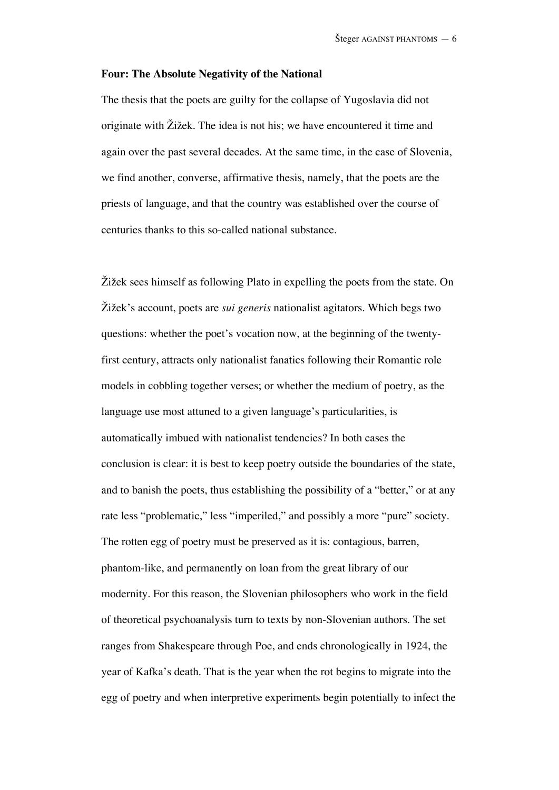#### **Four: The Absolute Negativity of the National**

The thesis that the poets are guilty for the collapse of Yugoslavia did not originate with Žižek. The idea is not his; we have encountered it time and again over the past several decades. At the same time, in the case of Slovenia, we find another, converse, affirmative thesis, namely, that the poets are the priests of language, and that the country was established over the course of centuries thanks to this so-called national substance.

Žižek sees himself as following Plato in expelling the poets from the state. On Žižek's account, poets are *sui generis* nationalist agitators. Which begs two questions: whether the poet's vocation now, at the beginning of the twentyfirst century, attracts only nationalist fanatics following their Romantic role models in cobbling together verses; or whether the medium of poetry, as the language use most attuned to a given language's particularities, is automatically imbued with nationalist tendencies? In both cases the conclusion is clear: it is best to keep poetry outside the boundaries of the state, and to banish the poets, thus establishing the possibility of a "better," or at any rate less "problematic," less "imperiled," and possibly a more "pure" society. The rotten egg of poetry must be preserved as it is: contagious, barren, phantom-like, and permanently on loan from the great library of our modernity. For this reason, the Slovenian philosophers who work in the field of theoretical psychoanalysis turn to texts by non-Slovenian authors. The set ranges from Shakespeare through Poe, and ends chronologically in 1924, the year of Kafka's death. That is the year when the rot begins to migrate into the egg of poetry and when interpretive experiments begin potentially to infect the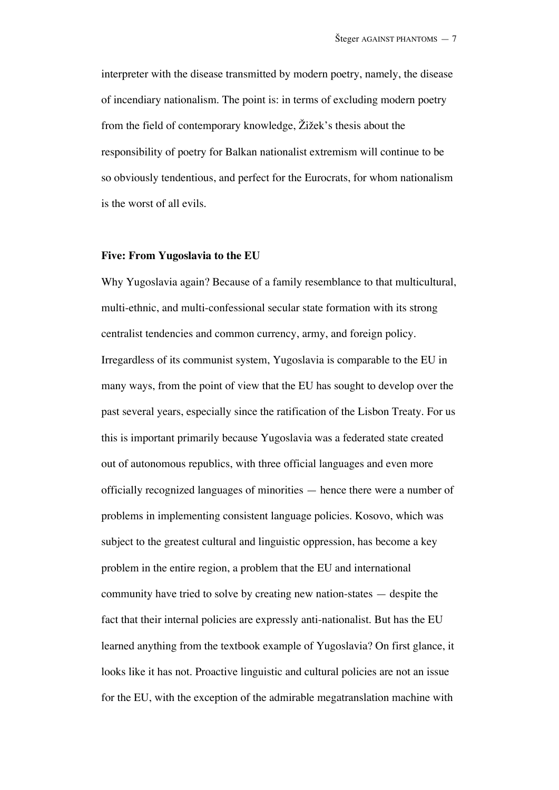interpreter with the disease transmitted by modern poetry, namely, the disease of incendiary nationalism. The point is: in terms of excluding modern poetry from the field of contemporary knowledge, Žižek's thesis about the responsibility of poetry for Balkan nationalist extremism will continue to be so obviously tendentious, and perfect for the Eurocrats, for whom nationalism is the worst of all evils.

#### **Five: From Yugoslavia to the EU**

Why Yugoslavia again? Because of a family resemblance to that multicultural, multi-ethnic, and multi-confessional secular state formation with its strong centralist tendencies and common currency, army, and foreign policy. Irregardless of its communist system, Yugoslavia is comparable to the EU in many ways, from the point of view that the EU has sought to develop over the past several years, especially since the ratification of the Lisbon Treaty. For us this is important primarily because Yugoslavia was a federated state created out of autonomous republics, with three official languages and even more officially recognized languages of minorities — hence there were a number of problems in implementing consistent language policies. Kosovo, which was subject to the greatest cultural and linguistic oppression, has become a key problem in the entire region, a problem that the EU and international community have tried to solve by creating new nation-states — despite the fact that their internal policies are expressly anti-nationalist. But has the EU learned anything from the textbook example of Yugoslavia? On first glance, it looks like it has not. Proactive linguistic and cultural policies are not an issue for the EU, with the exception of the admirable megatranslation machine with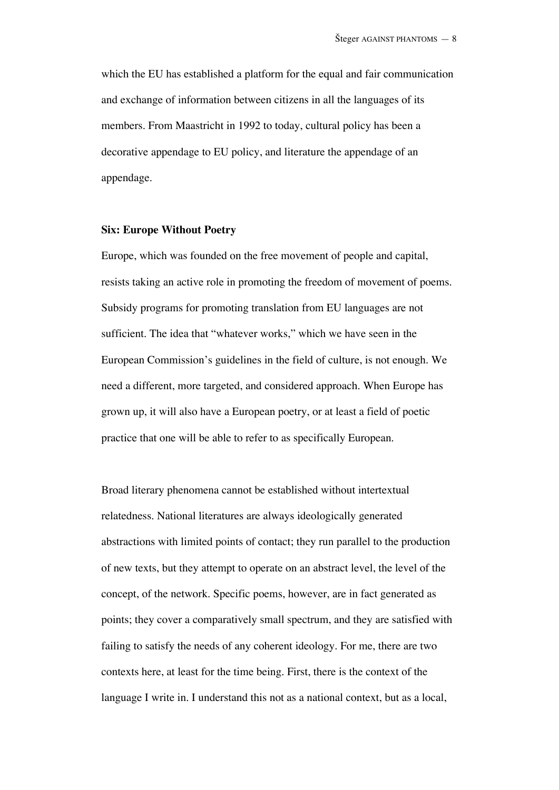which the EU has established a platform for the equal and fair communication and exchange of information between citizens in all the languages of its members. From Maastricht in 1992 to today, cultural policy has been a decorative appendage to EU policy, and literature the appendage of an appendage.

# **Six: Europe Without Poetry**

Europe, which was founded on the free movement of people and capital, resists taking an active role in promoting the freedom of movement of poems. Subsidy programs for promoting translation from EU languages are not sufficient. The idea that "whatever works," which we have seen in the European Commission's guidelines in the field of culture, is not enough. We need a different, more targeted, and considered approach. When Europe has grown up, it will also have a European poetry, or at least a field of poetic practice that one will be able to refer to as specifically European.

Broad literary phenomena cannot be established without intertextual relatedness. National literatures are always ideologically generated abstractions with limited points of contact; they run parallel to the production of new texts, but they attempt to operate on an abstract level, the level of the concept, of the network. Specific poems, however, are in fact generated as points; they cover a comparatively small spectrum, and they are satisfied with failing to satisfy the needs of any coherent ideology. For me, there are two contexts here, at least for the time being. First, there is the context of the language I write in. I understand this not as a national context, but as a local,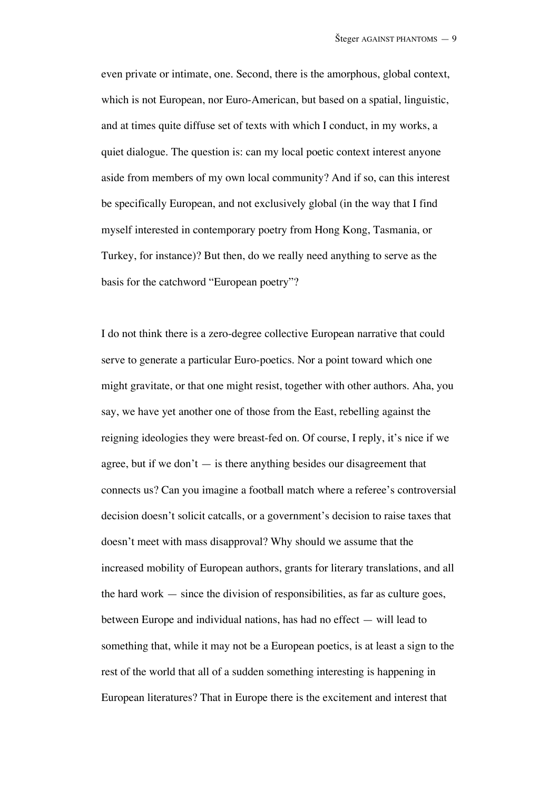even private or intimate, one. Second, there is the amorphous, global context, which is not European, nor Euro-American, but based on a spatial, linguistic, and at times quite diffuse set of texts with which I conduct, in my works, a quiet dialogue. The question is: can my local poetic context interest anyone aside from members of my own local community? And if so, can this interest be specifically European, and not exclusively global (in the way that I find myself interested in contemporary poetry from Hong Kong, Tasmania, or Turkey, for instance)? But then, do we really need anything to serve as the basis for the catchword "European poetry"?

I do not think there is a zero-degree collective European narrative that could serve to generate a particular Euro-poetics. Nor a point toward which one might gravitate, or that one might resist, together with other authors. Aha, you say, we have yet another one of those from the East, rebelling against the reigning ideologies they were breast-fed on. Of course, I reply, it's nice if we agree, but if we don't  $-$  is there anything besides our disagreement that connects us? Can you imagine a football match where a referee's controversial decision doesn't solicit catcalls, or a government's decision to raise taxes that doesn't meet with mass disapproval? Why should we assume that the increased mobility of European authors, grants for literary translations, and all the hard work  $-$  since the division of responsibilities, as far as culture goes, between Europe and individual nations, has had no effect — will lead to something that, while it may not be a European poetics, is at least a sign to the rest of the world that all of a sudden something interesting is happening in European literatures? That in Europe there is the excitement and interest that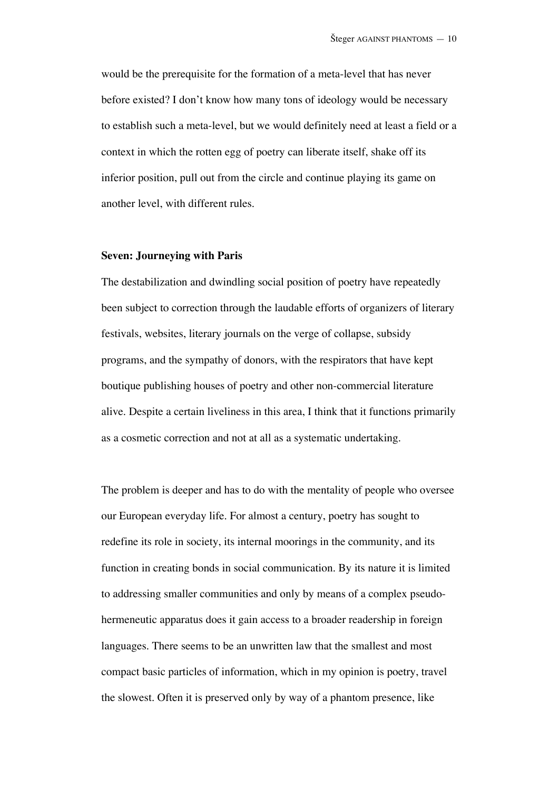would be the prerequisite for the formation of a meta-level that has never before existed? I don't know how many tons of ideology would be necessary to establish such a meta-level, but we would definitely need at least a field or a context in which the rotten egg of poetry can liberate itself, shake off its inferior position, pull out from the circle and continue playing its game on another level, with different rules.

#### **Seven: Journeying with Paris**

The destabilization and dwindling social position of poetry have repeatedly been subject to correction through the laudable efforts of organizers of literary festivals, websites, literary journals on the verge of collapse, subsidy programs, and the sympathy of donors, with the respirators that have kept boutique publishing houses of poetry and other non-commercial literature alive. Despite a certain liveliness in this area, I think that it functions primarily as a cosmetic correction and not at all as a systematic undertaking.

The problem is deeper and has to do with the mentality of people who oversee our European everyday life. For almost a century, poetry has sought to redefine its role in society, its internal moorings in the community, and its function in creating bonds in social communication. By its nature it is limited to addressing smaller communities and only by means of a complex pseudohermeneutic apparatus does it gain access to a broader readership in foreign languages. There seems to be an unwritten law that the smallest and most compact basic particles of information, which in my opinion is poetry, travel the slowest. Often it is preserved only by way of a phantom presence, like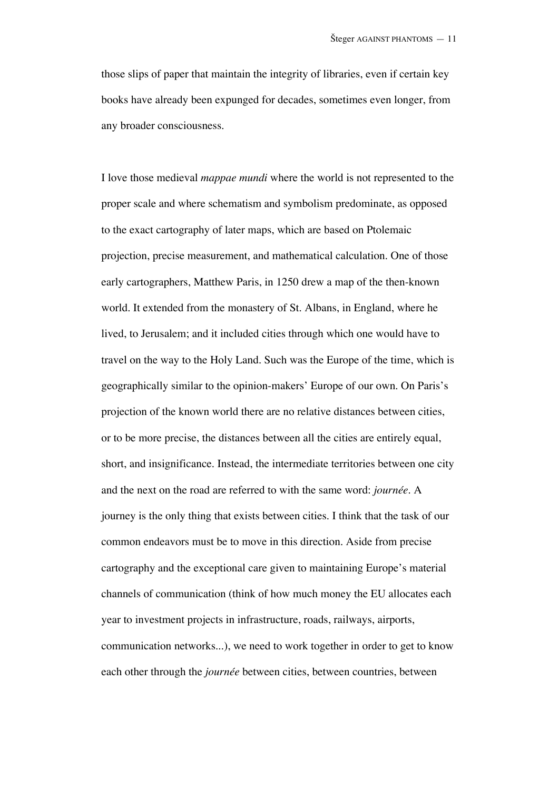those slips of paper that maintain the integrity of libraries, even if certain key books have already been expunged for decades, sometimes even longer, from any broader consciousness.

I love those medieval *mappae mundi* where the world is not represented to the proper scale and where schematism and symbolism predominate, as opposed to the exact cartography of later maps, which are based on Ptolemaic projection, precise measurement, and mathematical calculation. One of those early cartographers, Matthew Paris, in 1250 drew a map of the then-known world. It extended from the monastery of St. Albans, in England, where he lived, to Jerusalem; and it included cities through which one would have to travel on the way to the Holy Land. Such was the Europe of the time, which is geographically similar to the opinion-makers' Europe of our own. On Paris's projection of the known world there are no relative distances between cities, or to be more precise, the distances between all the cities are entirely equal, short, and insignificance. Instead, the intermediate territories between one city and the next on the road are referred to with the same word: *journée*. A journey is the only thing that exists between cities. I think that the task of our common endeavors must be to move in this direction. Aside from precise cartography and the exceptional care given to maintaining Europe's material channels of communication (think of how much money the EU allocates each year to investment projects in infrastructure, roads, railways, airports, communication networks...), we need to work together in order to get to know each other through the *journée* between cities, between countries, between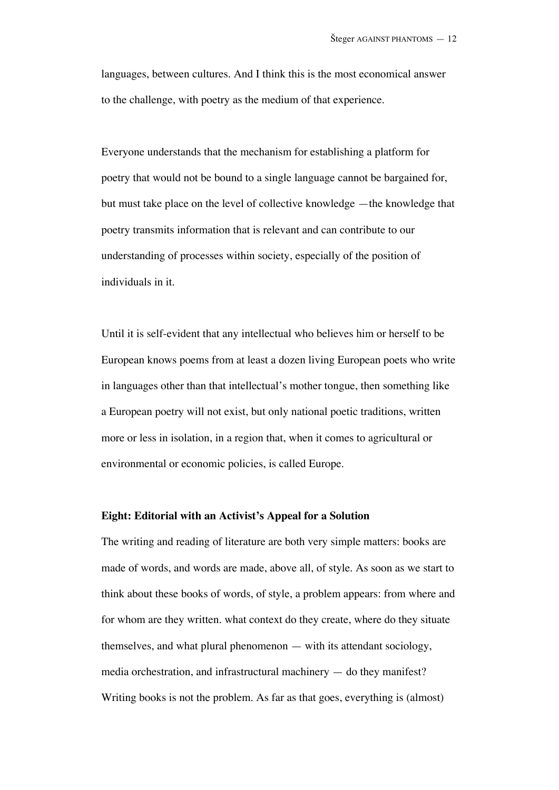languages, between cultures. And I think this is the most economical answer to the challenge, with poetry as the medium of that experience.

Everyone understands that the mechanism for establishing a platform for poetry that would not be bound to a single language cannot be bargained for, but must take place on the level of collective knowledge —the knowledge that poetry transmits information that is relevant and can contribute to our understanding of processes within society, especially of the position of individuals in it.

Until it is self-evident that any intellectual who believes him or herself to be European knows poems from at least a dozen living European poets who write in languages other than that intellectual's mother tongue, then something like a European poetry will not exist, but only national poetic traditions, written more or less in isolation, in a region that, when it comes to agricultural or environmental or economic policies, is called Europe.

### **Eight: Editorial with an Activist's Appeal for a Solution**

The writing and reading of literature are both very simple matters: books are made of words, and words are made, above all, of style. As soon as we start to think about these books of words, of style, a problem appears: from where and for whom are they written. what context do they create, where do they situate themselves, and what plural phenomenon — with its attendant sociology, media orchestration, and infrastructural machinery — do they manifest? Writing books is not the problem. As far as that goes, everything is (almost)